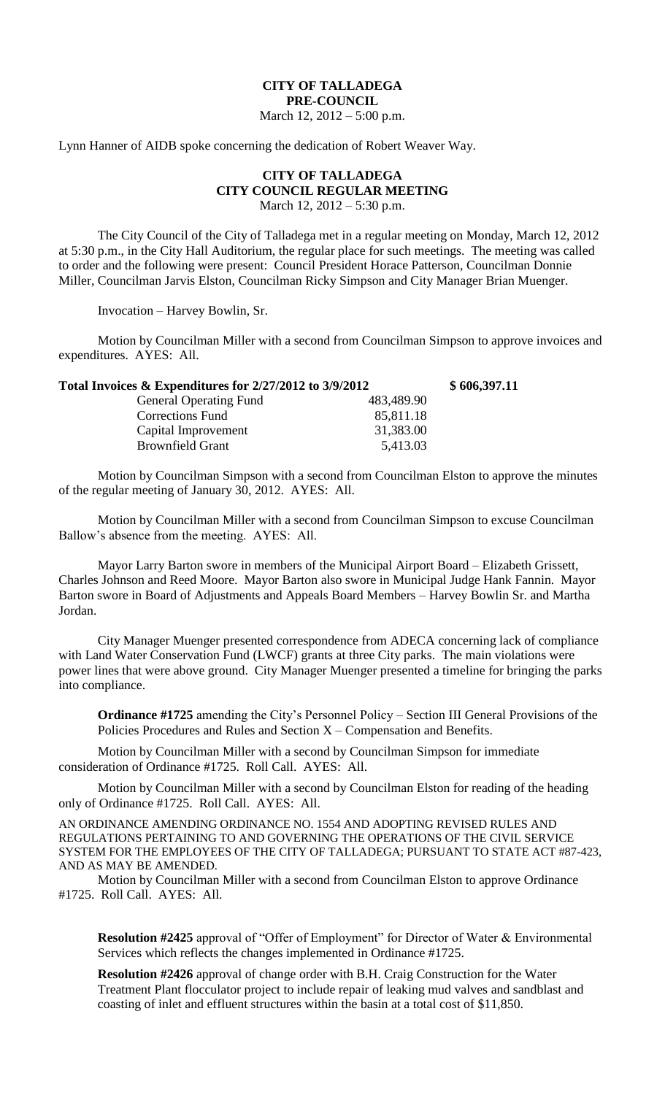## **CITY OF TALLADEGA PRE-COUNCIL**

March 12, 2012 – 5:00 p.m.

Lynn Hanner of AIDB spoke concerning the dedication of Robert Weaver Way.

## **CITY OF TALLADEGA CITY COUNCIL REGULAR MEETING**

March 12, 2012 – 5:30 p.m.

The City Council of the City of Talladega met in a regular meeting on Monday, March 12, 2012 at 5:30 p.m., in the City Hall Auditorium, the regular place for such meetings. The meeting was called to order and the following were present: Council President Horace Patterson, Councilman Donnie Miller, Councilman Jarvis Elston, Councilman Ricky Simpson and City Manager Brian Muenger.

Invocation – Harvey Bowlin, Sr.

Motion by Councilman Miller with a second from Councilman Simpson to approve invoices and expenditures. AYES: All.

| Total Invoices & Expenditures for 2/27/2012 to 3/9/2012 | \$606,397.11 |
|---------------------------------------------------------|--------------|
| 483,489.90                                              |              |
| 85,811.18                                               |              |
| 31,383.00                                               |              |
| 5,413.03                                                |              |
|                                                         |              |

Motion by Councilman Simpson with a second from Councilman Elston to approve the minutes of the regular meeting of January 30, 2012. AYES: All.

Motion by Councilman Miller with a second from Councilman Simpson to excuse Councilman Ballow's absence from the meeting. AYES: All.

Mayor Larry Barton swore in members of the Municipal Airport Board – Elizabeth Grissett, Charles Johnson and Reed Moore. Mayor Barton also swore in Municipal Judge Hank Fannin. Mayor Barton swore in Board of Adjustments and Appeals Board Members – Harvey Bowlin Sr. and Martha Jordan.

City Manager Muenger presented correspondence from ADECA concerning lack of compliance with Land Water Conservation Fund (LWCF) grants at three City parks. The main violations were power lines that were above ground. City Manager Muenger presented a timeline for bringing the parks into compliance.

**Ordinance #1725** amending the City's Personnel Policy – Section III General Provisions of the Policies Procedures and Rules and Section X – Compensation and Benefits.

Motion by Councilman Miller with a second by Councilman Simpson for immediate consideration of Ordinance #1725. Roll Call. AYES: All.

Motion by Councilman Miller with a second by Councilman Elston for reading of the heading only of Ordinance #1725. Roll Call. AYES: All.

AN ORDINANCE AMENDING ORDINANCE NO. 1554 AND ADOPTING REVISED RULES AND REGULATIONS PERTAINING TO AND GOVERNING THE OPERATIONS OF THE CIVIL SERVICE SYSTEM FOR THE EMPLOYEES OF THE CITY OF TALLADEGA; PURSUANT TO STATE ACT #87-423, AND AS MAY BE AMENDED.

Motion by Councilman Miller with a second from Councilman Elston to approve Ordinance #1725. Roll Call. AYES: All.

**Resolution #2425** approval of "Offer of Employment" for Director of Water & Environmental Services which reflects the changes implemented in Ordinance #1725.

**Resolution #2426** approval of change order with B.H. Craig Construction for the Water Treatment Plant flocculator project to include repair of leaking mud valves and sandblast and coasting of inlet and effluent structures within the basin at a total cost of \$11,850.